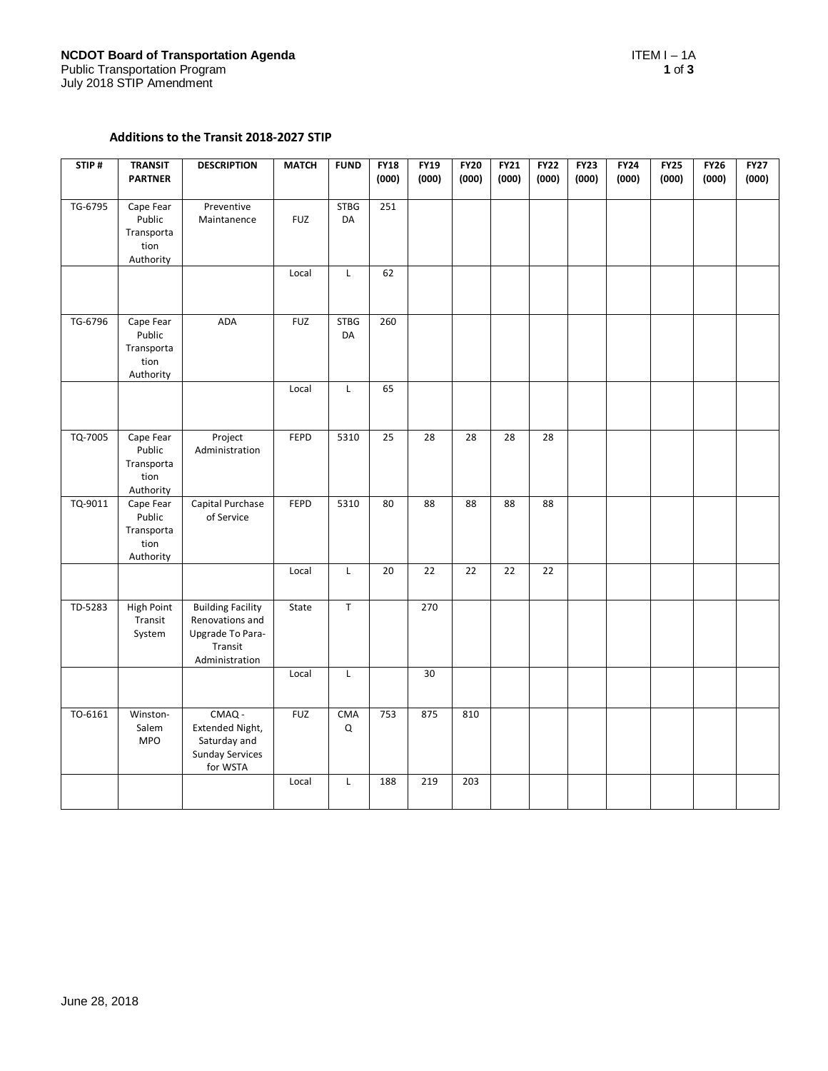## Additions to the Transit 2018-2027 STIP

| STIP#   | <b>TRANSIT</b><br><b>PARTNER</b>                       | <b>DESCRIPTION</b>                                                                           | <b>MATCH</b> | <b>FUND</b>       | <b>FY18</b><br>(000) | <b>FY19</b><br>(000) | <b>FY20</b><br>(000) | <b>FY21</b><br>(000) | <b>FY22</b><br>(000) | <b>FY23</b><br>(000) | <b>FY24</b><br>(000) | <b>FY25</b><br>(000) | <b>FY26</b><br>(000) | <b>FY27</b><br>(000) |
|---------|--------------------------------------------------------|----------------------------------------------------------------------------------------------|--------------|-------------------|----------------------|----------------------|----------------------|----------------------|----------------------|----------------------|----------------------|----------------------|----------------------|----------------------|
| TG-6795 | Cape Fear<br>Public<br>Transporta<br>tion<br>Authority | Preventive<br>Maintanence                                                                    | <b>FUZ</b>   | <b>STBG</b><br>DA | 251                  |                      |                      |                      |                      |                      |                      |                      |                      |                      |
|         |                                                        |                                                                                              | Local        | L                 | 62                   |                      |                      |                      |                      |                      |                      |                      |                      |                      |
| TG-6796 | Cape Fear<br>Public<br>Transporta<br>tion<br>Authority | ADA                                                                                          | <b>FUZ</b>   | <b>STBG</b><br>DA | 260                  |                      |                      |                      |                      |                      |                      |                      |                      |                      |
|         |                                                        |                                                                                              | Local        | L                 | 65                   |                      |                      |                      |                      |                      |                      |                      |                      |                      |
| TQ-7005 | Cape Fear<br>Public<br>Transporta<br>tion<br>Authority | Project<br>Administration                                                                    | FEPD         | 5310              | 25                   | 28                   | 28                   | 28                   | 28                   |                      |                      |                      |                      |                      |
| TQ-9011 | Cape Fear<br>Public<br>Transporta<br>tion<br>Authority | Capital Purchase<br>of Service                                                               | FEPD         | 5310              | 80                   | 88                   | 88                   | 88                   | 88                   |                      |                      |                      |                      |                      |
|         |                                                        |                                                                                              | Local        | L                 | 20                   | 22                   | $\overline{22}$      | 22                   | $\overline{22}$      |                      |                      |                      |                      |                      |
| TD-5283 | <b>High Point</b><br>Transit<br>System                 | <b>Building Facility</b><br>Renovations and<br>Upgrade To Para-<br>Transit<br>Administration | State        | $\sf T$           |                      | 270                  |                      |                      |                      |                      |                      |                      |                      |                      |
|         |                                                        |                                                                                              | Local        | L                 |                      | 30                   |                      |                      |                      |                      |                      |                      |                      |                      |
| TO-6161 | Winston-<br>Salem<br><b>MPO</b>                        | CMAQ -<br>Extended Night,<br>Saturday and<br><b>Sunday Services</b><br>for WSTA              | <b>FUZ</b>   | <b>CMA</b><br>Q   | 753                  | 875                  | 810                  |                      |                      |                      |                      |                      |                      |                      |
|         |                                                        |                                                                                              | Local        | L                 | 188                  | 219                  | 203                  |                      |                      |                      |                      |                      |                      |                      |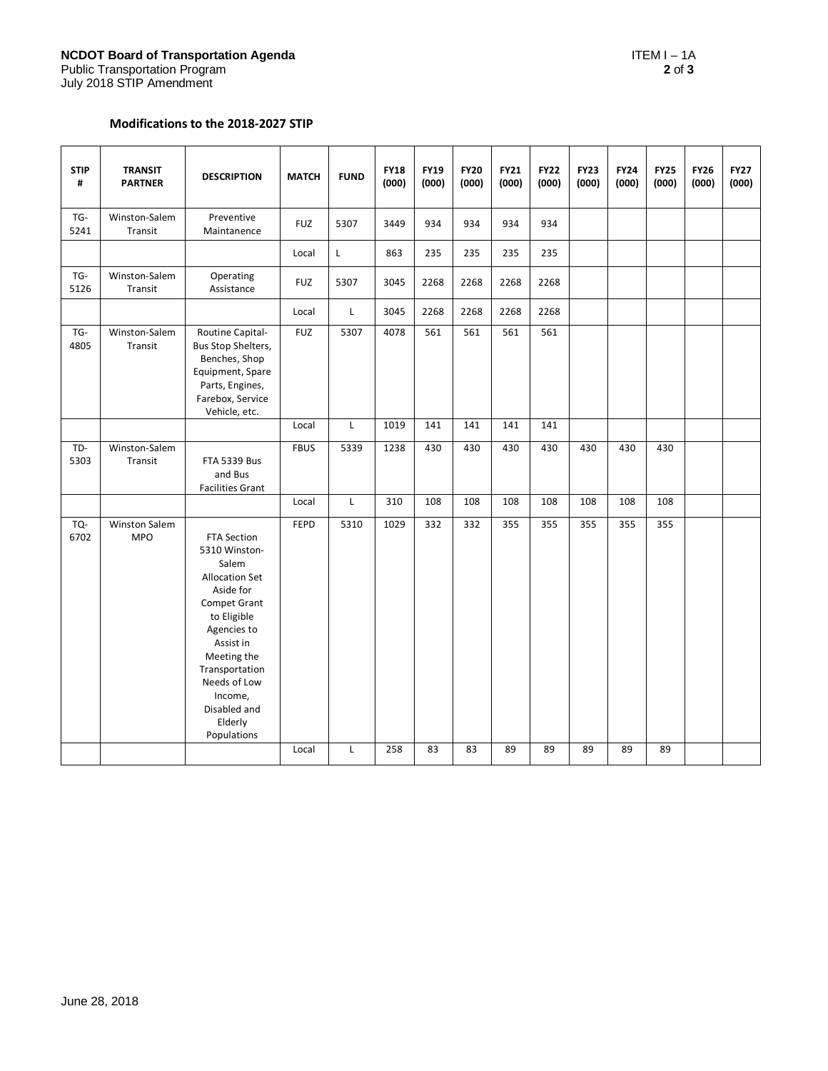## Modifications to the 2018-2027 STIP

| <b>STIP</b><br># | <b>TRANSIT</b><br><b>PARTNER</b> | <b>DESCRIPTION</b>                                                                                                                                                                                                                                  | <b>MATCH</b> | <b>FUND</b>  | <b>FY18</b><br>(000) | <b>FY19</b><br>(000) | <b>FY20</b><br>(000) | <b>FY21</b><br>(000) | <b>FY22</b><br>(000) | <b>FY23</b><br>(000) | <b>FY24</b><br>(000) | <b>FY25</b><br>(000) | <b>FY26</b><br>(000) | <b>FY27</b><br>(000) |
|------------------|----------------------------------|-----------------------------------------------------------------------------------------------------------------------------------------------------------------------------------------------------------------------------------------------------|--------------|--------------|----------------------|----------------------|----------------------|----------------------|----------------------|----------------------|----------------------|----------------------|----------------------|----------------------|
| TG-<br>5241      | Winston-Salem<br>Transit         | Preventive<br>Maintanence                                                                                                                                                                                                                           | <b>FUZ</b>   | 5307         | 3449                 | 934                  | 934                  | 934                  | 934                  |                      |                      |                      |                      |                      |
|                  |                                  |                                                                                                                                                                                                                                                     | Local        | L            | 863                  | 235                  | 235                  | 235                  | 235                  |                      |                      |                      |                      |                      |
| TG-<br>5126      | Winston-Salem<br>Transit         | Operating<br>Assistance                                                                                                                                                                                                                             | <b>FUZ</b>   | 5307         | 3045                 | 2268                 | 2268                 | 2268                 | 2268                 |                      |                      |                      |                      |                      |
|                  |                                  |                                                                                                                                                                                                                                                     | Local        | L            | 3045                 | 2268                 | 2268                 | 2268                 | 2268                 |                      |                      |                      |                      |                      |
| TG-<br>4805      | Winston-Salem<br>Transit         | Routine Capital-<br>Bus Stop Shelters,<br>Benches, Shop<br>Equipment, Spare<br>Parts, Engines,<br>Farebox, Service<br>Vehicle, etc.                                                                                                                 | <b>FUZ</b>   | 5307         | 4078                 | 561                  | 561                  | 561                  | 561                  |                      |                      |                      |                      |                      |
|                  |                                  |                                                                                                                                                                                                                                                     | Local        | $\mathsf{L}$ | 1019                 | 141                  | 141                  | 141                  | 141                  |                      |                      |                      |                      |                      |
| TD-<br>5303      | Winston-Salem<br>Transit         | <b>FTA 5339 Bus</b><br>and Bus<br><b>Facilities Grant</b>                                                                                                                                                                                           | <b>FBUS</b>  | 5339         | 1238                 | 430                  | 430                  | 430                  | 430                  | 430                  | 430                  | 430                  |                      |                      |
|                  |                                  |                                                                                                                                                                                                                                                     | Local        | $\mathsf{L}$ | 310                  | 108                  | 108                  | 108                  | 108                  | 108                  | 108                  | 108                  |                      |                      |
| TQ-<br>6702      | Winston Salem<br><b>MPO</b>      | <b>FTA Section</b><br>5310 Winston-<br>Salem<br><b>Allocation Set</b><br>Aside for<br>Compet Grant<br>to Eligible<br>Agencies to<br>Assist in<br>Meeting the<br>Transportation<br>Needs of Low<br>Income,<br>Disabled and<br>Elderly<br>Populations | FEPD         | 5310         | 1029                 | 332                  | 332                  | 355                  | 355                  | 355                  | 355                  | 355                  |                      |                      |
|                  |                                  |                                                                                                                                                                                                                                                     | Local        | L            | 258                  | 83                   | 83                   | 89                   | 89                   | 89                   | 89                   | 89                   |                      |                      |